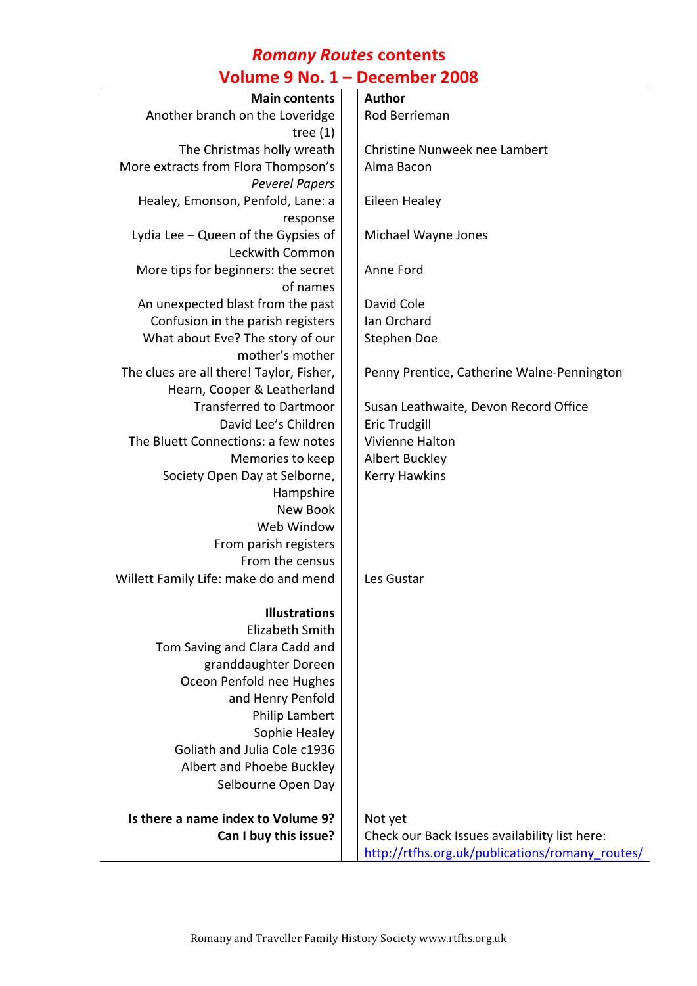#### *Romany Routes* **contents Volume 9 No. 1 – December 2008**

| <b>Main contents</b>                     | <b>Author</b>                                   |
|------------------------------------------|-------------------------------------------------|
|                                          |                                                 |
| Another branch on the Loveridge          | Rod Berrieman                                   |
| tree $(1)$                               |                                                 |
| The Christmas holly wreath               | Christine Nunweek nee Lambert                   |
| More extracts from Flora Thompson's      | Alma Bacon                                      |
| <b>Peverel Papers</b>                    |                                                 |
| Healey, Emonson, Penfold, Lane: a        | Eileen Healey                                   |
| response                                 |                                                 |
| Lydia Lee - Queen of the Gypsies of      | Michael Wayne Jones                             |
| Leckwith Common                          |                                                 |
| More tips for beginners: the secret      | Anne Ford                                       |
| of names                                 |                                                 |
| An unexpected blast from the past        | David Cole                                      |
| Confusion in the parish registers        | Ian Orchard                                     |
| What about Eve? The story of our         | Stephen Doe                                     |
| mother's mother                          |                                                 |
| The clues are all there! Taylor, Fisher, | Penny Prentice, Catherine Walne-Pennington      |
| Hearn, Cooper & Leatherland              |                                                 |
| <b>Transferred to Dartmoor</b>           | Susan Leathwaite, Devon Record Office           |
| David Lee's Children                     | <b>Eric Trudgill</b>                            |
| The Bluett Connections: a few notes      | Vivienne Halton                                 |
| Memories to keep                         | Albert Buckley                                  |
| Society Open Day at Selborne,            | <b>Kerry Hawkins</b>                            |
| Hampshire                                |                                                 |
| New Book                                 |                                                 |
| Web Window                               |                                                 |
| From parish registers                    |                                                 |
| From the census                          |                                                 |
| Willett Family Life: make do and mend    | Les Gustar                                      |
|                                          |                                                 |
| <b>Illustrations</b>                     |                                                 |
| Elizabeth Smith                          |                                                 |
| Tom Saving and Clara Cadd and            |                                                 |
| granddaughter Doreen                     |                                                 |
| Oceon Penfold nee Hughes                 |                                                 |
| and Henry Penfold                        |                                                 |
| Philip Lambert                           |                                                 |
| Sophie Healey                            |                                                 |
| Goliath and Julia Cole c1936             |                                                 |
| Albert and Phoebe Buckley                |                                                 |
| Selbourne Open Day                       |                                                 |
|                                          |                                                 |
| Is there a name index to Volume 9?       | Not yet                                         |
| Can I buy this issue?                    | Check our Back Issues availability list here:   |
|                                          | http://rtfhs.org.uk/publications/romany_routes/ |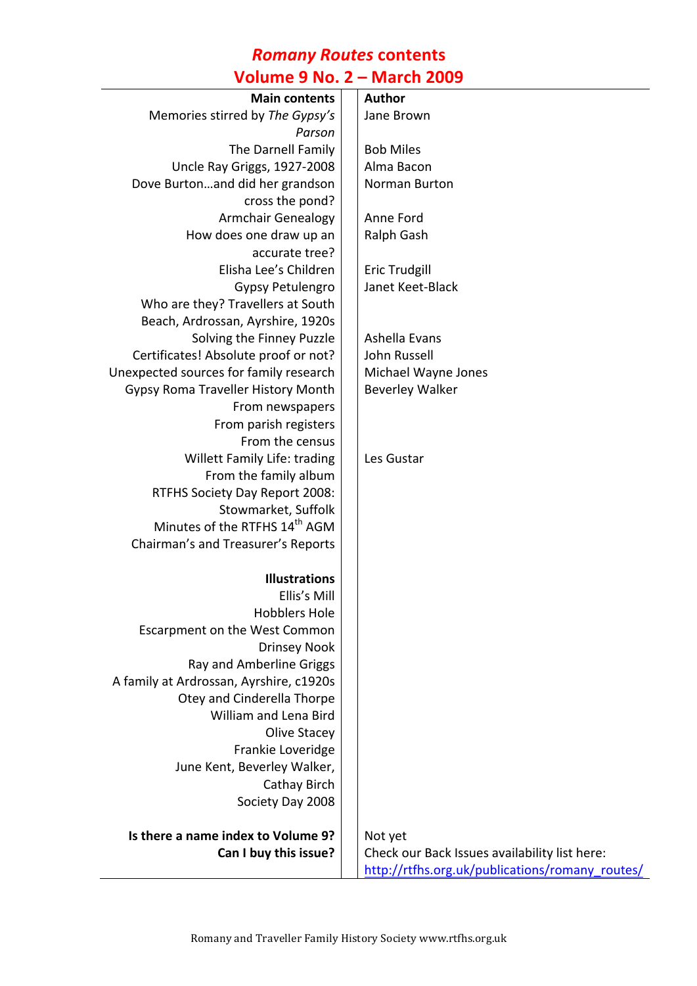#### *Romany Routes* **contents Volume 9 No. 2 – March 2009**

| volume 9 No. z – March 2009               |  |                                                          |  |
|-------------------------------------------|--|----------------------------------------------------------|--|
| <b>Main contents</b>                      |  | <b>Author</b>                                            |  |
| Memories stirred by The Gypsy's           |  | Jane Brown                                               |  |
| Parson                                    |  |                                                          |  |
| The Darnell Family                        |  | <b>Bob Miles</b>                                         |  |
| Uncle Ray Griggs, 1927-2008               |  | Alma Bacon                                               |  |
| Dove Burtonand did her grandson           |  | Norman Burton                                            |  |
| cross the pond?                           |  |                                                          |  |
| <b>Armchair Genealogy</b>                 |  | Anne Ford                                                |  |
| How does one draw up an                   |  | Ralph Gash                                               |  |
| accurate tree?                            |  |                                                          |  |
| Elisha Lee's Children                     |  | <b>Eric Trudgill</b>                                     |  |
| Gypsy Petulengro                          |  | Janet Keet-Black                                         |  |
| Who are they? Travellers at South         |  |                                                          |  |
| Beach, Ardrossan, Ayrshire, 1920s         |  |                                                          |  |
| Solving the Finney Puzzle                 |  | Ashella Evans                                            |  |
| Certificates! Absolute proof or not?      |  | John Russell                                             |  |
| Unexpected sources for family research    |  | Michael Wayne Jones                                      |  |
| Gypsy Roma Traveller History Month        |  | <b>Beverley Walker</b>                                   |  |
| From newspapers                           |  |                                                          |  |
| From parish registers                     |  |                                                          |  |
| From the census                           |  |                                                          |  |
| <b>Willett Family Life: trading</b>       |  | Les Gustar                                               |  |
| From the family album                     |  |                                                          |  |
| RTFHS Society Day Report 2008:            |  |                                                          |  |
| Stowmarket, Suffolk                       |  |                                                          |  |
| Minutes of the RTFHS 14 <sup>th</sup> AGM |  |                                                          |  |
| Chairman's and Treasurer's Reports        |  |                                                          |  |
|                                           |  |                                                          |  |
| <b>Illustrations</b>                      |  |                                                          |  |
| Ellis's Mill                              |  |                                                          |  |
| <b>Hobblers Hole</b>                      |  |                                                          |  |
| Escarpment on the West Common             |  |                                                          |  |
| <b>Drinsey Nook</b>                       |  |                                                          |  |
| Ray and Amberline Griggs                  |  |                                                          |  |
| A family at Ardrossan, Ayrshire, c1920s   |  |                                                          |  |
| Otey and Cinderella Thorpe                |  |                                                          |  |
| William and Lena Bird                     |  |                                                          |  |
| Olive Stacey                              |  |                                                          |  |
| Frankie Loveridge                         |  |                                                          |  |
| June Kent, Beverley Walker,               |  |                                                          |  |
| Cathay Birch                              |  |                                                          |  |
| Society Day 2008                          |  |                                                          |  |
| Is there a name index to Volume 9?        |  |                                                          |  |
| Can I buy this issue?                     |  | Not yet<br>Check our Back Issues availability list here: |  |
|                                           |  |                                                          |  |
|                                           |  | http://rtfhs.org.uk/publications/romany_routes/          |  |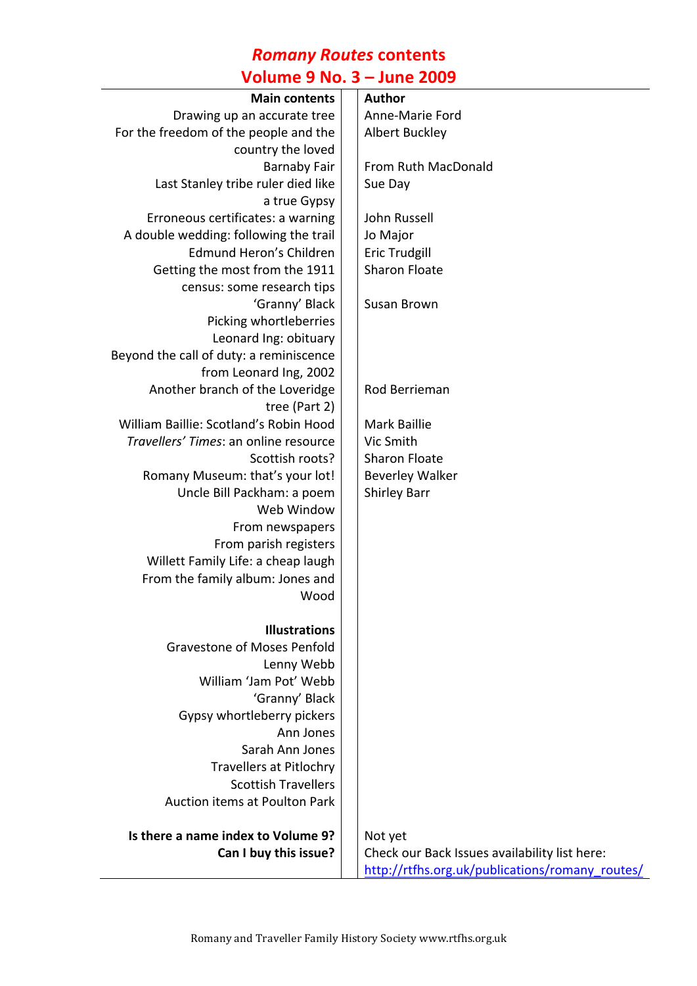#### *Romany Routes* **contents Volume 9 No. 3 – June 2009**

| O(                                      |  |                                                 |  |
|-----------------------------------------|--|-------------------------------------------------|--|
| <b>Main contents</b>                    |  | <b>Author</b>                                   |  |
| Drawing up an accurate tree             |  | Anne-Marie Ford                                 |  |
| For the freedom of the people and the   |  | <b>Albert Buckley</b>                           |  |
| country the loved                       |  |                                                 |  |
| <b>Barnaby Fair</b>                     |  | From Ruth MacDonald                             |  |
| Last Stanley tribe ruler died like      |  | Sue Day                                         |  |
| a true Gypsy                            |  |                                                 |  |
| Erroneous certificates: a warning       |  | John Russell                                    |  |
| A double wedding: following the trail   |  | Jo Major                                        |  |
| Edmund Heron's Children                 |  | <b>Eric Trudgill</b>                            |  |
| Getting the most from the 1911          |  | <b>Sharon Floate</b>                            |  |
| census: some research tips              |  |                                                 |  |
| 'Granny' Black                          |  | Susan Brown                                     |  |
| Picking whortleberries                  |  |                                                 |  |
| Leonard Ing: obituary                   |  |                                                 |  |
| Beyond the call of duty: a reminiscence |  |                                                 |  |
| from Leonard Ing, 2002                  |  |                                                 |  |
| Another branch of the Loveridge         |  | Rod Berrieman                                   |  |
| tree (Part 2)                           |  |                                                 |  |
| William Baillie: Scotland's Robin Hood  |  | <b>Mark Baillie</b>                             |  |
| Travellers' Times: an online resource   |  | Vic Smith                                       |  |
| Scottish roots?                         |  | <b>Sharon Floate</b>                            |  |
| Romany Museum: that's your lot!         |  | <b>Beverley Walker</b>                          |  |
| Uncle Bill Packham: a poem              |  | <b>Shirley Barr</b>                             |  |
| Web Window                              |  |                                                 |  |
| From newspapers                         |  |                                                 |  |
| From parish registers                   |  |                                                 |  |
| Willett Family Life: a cheap laugh      |  |                                                 |  |
| From the family album: Jones and        |  |                                                 |  |
| Wood                                    |  |                                                 |  |
|                                         |  |                                                 |  |
| <b>Illustrations</b>                    |  |                                                 |  |
| <b>Gravestone of Moses Penfold</b>      |  |                                                 |  |
| Lenny Webb                              |  |                                                 |  |
| William 'Jam Pot' Webb                  |  |                                                 |  |
| 'Granny' Black                          |  |                                                 |  |
| Gypsy whortleberry pickers              |  |                                                 |  |
| Ann Jones                               |  |                                                 |  |
| Sarah Ann Jones                         |  |                                                 |  |
| <b>Travellers at Pitlochry</b>          |  |                                                 |  |
| <b>Scottish Travellers</b>              |  |                                                 |  |
| Auction items at Poulton Park           |  |                                                 |  |
| Is there a name index to Volume 9?      |  | Not yet                                         |  |
| Can I buy this issue?                   |  | Check our Back Issues availability list here:   |  |
|                                         |  | http://rtfhs.org.uk/publications/romany_routes/ |  |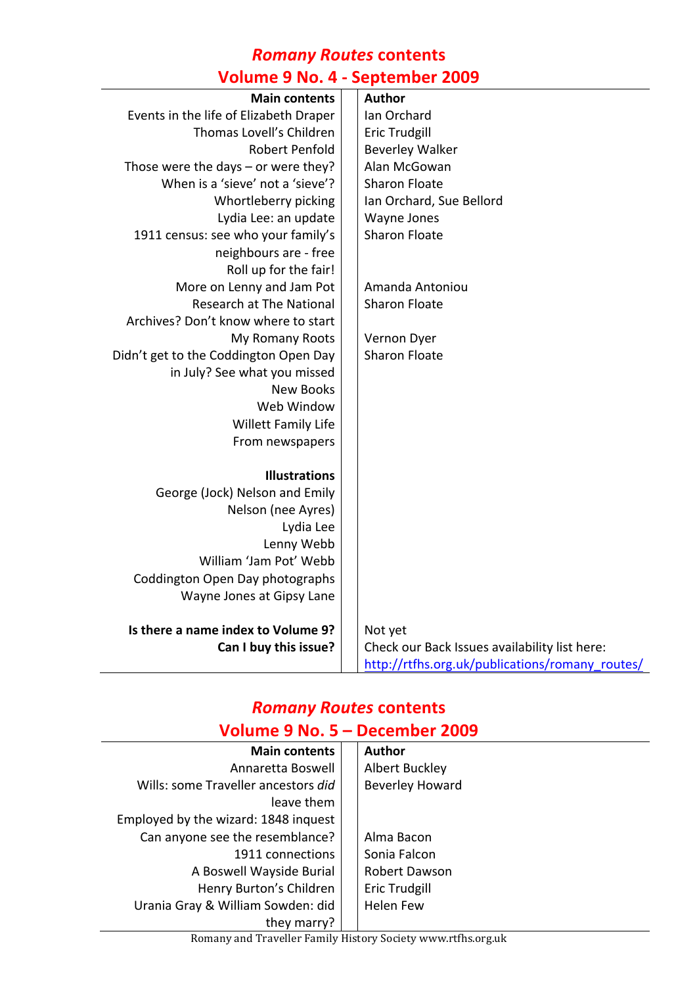### *Romany Routes* **contents Volume 9 No. 4 - September 2009**

| <b>Main contents</b>                   | <b>Author</b>                                   |
|----------------------------------------|-------------------------------------------------|
| Events in the life of Elizabeth Draper | Ian Orchard                                     |
| Thomas Lovell's Children               | <b>Eric Trudgill</b>                            |
| <b>Robert Penfold</b>                  | <b>Beverley Walker</b>                          |
| Those were the days $-$ or were they?  | Alan McGowan                                    |
| When is a 'sieve' not a 'sieve'?       | <b>Sharon Floate</b>                            |
| Whortleberry picking                   | Ian Orchard, Sue Bellord                        |
| Lydia Lee: an update                   | Wayne Jones                                     |
| 1911 census: see who your family's     | <b>Sharon Floate</b>                            |
| neighbours are - free                  |                                                 |
| Roll up for the fair!                  |                                                 |
| More on Lenny and Jam Pot              | Amanda Antoniou                                 |
| <b>Research at The National</b>        | <b>Sharon Floate</b>                            |
| Archives? Don't know where to start    |                                                 |
| My Romany Roots                        | Vernon Dyer                                     |
| Didn't get to the Coddington Open Day  | <b>Sharon Floate</b>                            |
| in July? See what you missed           |                                                 |
| <b>New Books</b>                       |                                                 |
| Web Window                             |                                                 |
| Willett Family Life                    |                                                 |
| From newspapers                        |                                                 |
| <b>Illustrations</b>                   |                                                 |
| George (Jock) Nelson and Emily         |                                                 |
| Nelson (nee Ayres)                     |                                                 |
| Lydia Lee                              |                                                 |
| Lenny Webb                             |                                                 |
| William 'Jam Pot' Webb                 |                                                 |
| Coddington Open Day photographs        |                                                 |
| Wayne Jones at Gipsy Lane              |                                                 |
|                                        |                                                 |
| Is there a name index to Volume 9?     | Not yet                                         |
| Can I buy this issue?                  | Check our Back Issues availability list here:   |
|                                        | http://rtfhs.org.uk/publications/romany_routes/ |

## *Romany Routes* **contents**

| Volume 9 No. 5 - December 2009       |                        |  |  |
|--------------------------------------|------------------------|--|--|
| <b>Main contents</b>                 | <b>Author</b>          |  |  |
| Annaretta Boswell                    | Albert Buckley         |  |  |
| Wills: some Traveller ancestors did  | <b>Beverley Howard</b> |  |  |
| leave them                           |                        |  |  |
| Employed by the wizard: 1848 inquest |                        |  |  |
| Can anyone see the resemblance?      | Alma Bacon             |  |  |
| 1911 connections                     | Sonia Falcon           |  |  |
| A Boswell Wayside Burial             | <b>Robert Dawson</b>   |  |  |
| Henry Burton's Children              | Eric Trudgill          |  |  |
| Urania Gray & William Sowden: did    | <b>Helen Few</b>       |  |  |
| they marry?                          |                        |  |  |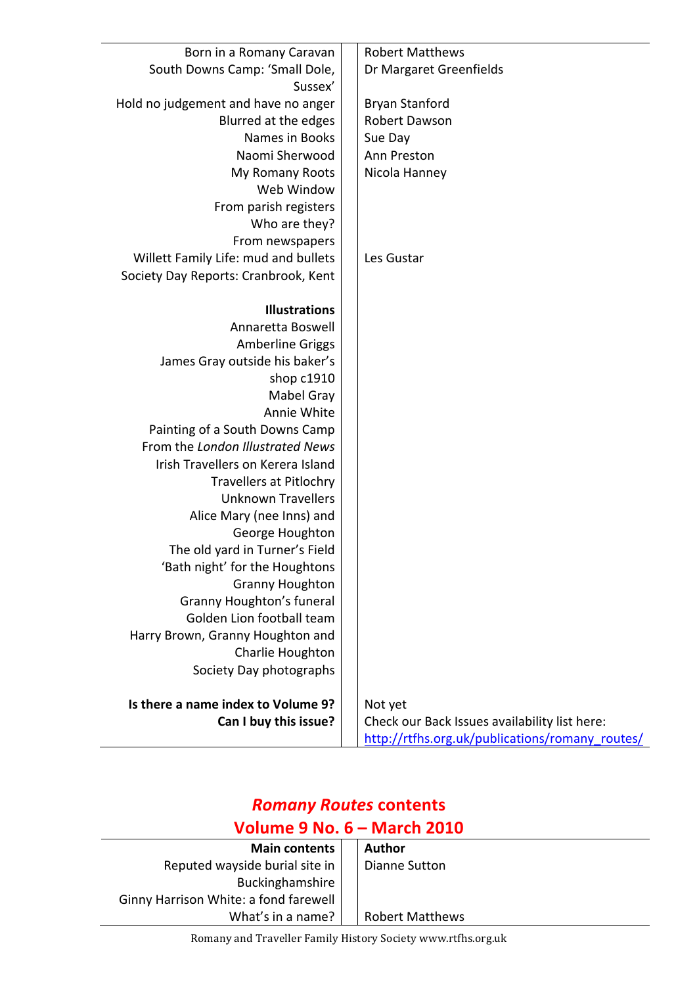| Born in a Romany Caravan             | <b>Robert Matthews</b>                          |
|--------------------------------------|-------------------------------------------------|
| South Downs Camp: 'Small Dole,       | Dr Margaret Greenfields                         |
| Sussex'                              |                                                 |
| Hold no judgement and have no anger  | <b>Bryan Stanford</b>                           |
| Blurred at the edges                 | <b>Robert Dawson</b>                            |
| Names in Books                       | Sue Day                                         |
| Naomi Sherwood                       | Ann Preston                                     |
| My Romany Roots                      | Nicola Hanney                                   |
| Web Window                           |                                                 |
| From parish registers                |                                                 |
| Who are they?                        |                                                 |
| From newspapers                      |                                                 |
| Willett Family Life: mud and bullets | Les Gustar                                      |
| Society Day Reports: Cranbrook, Kent |                                                 |
|                                      |                                                 |
| <b>Illustrations</b>                 |                                                 |
| Annaretta Boswell                    |                                                 |
| <b>Amberline Griggs</b>              |                                                 |
| James Gray outside his baker's       |                                                 |
| shop c1910                           |                                                 |
| Mabel Gray                           |                                                 |
| Annie White                          |                                                 |
| Painting of a South Downs Camp       |                                                 |
| From the London Illustrated News     |                                                 |
| Irish Travellers on Kerera Island    |                                                 |
| <b>Travellers at Pitlochry</b>       |                                                 |
| <b>Unknown Travellers</b>            |                                                 |
| Alice Mary (nee Inns) and            |                                                 |
| George Houghton                      |                                                 |
| The old yard in Turner's Field       |                                                 |
| 'Bath night' for the Houghtons       |                                                 |
| <b>Granny Houghton</b>               |                                                 |
| <b>Granny Houghton's funeral</b>     |                                                 |
| Golden Lion football team            |                                                 |
| Harry Brown, Granny Houghton and     |                                                 |
| Charlie Houghton                     |                                                 |
| Society Day photographs              |                                                 |
| Is there a name index to Volume 9?   | Not yet                                         |
| Can I buy this issue?                | Check our Back Issues availability list here:   |
|                                      | http://rtfhs.org.uk/publications/romany routes/ |
|                                      |                                                 |

# *Romany Routes* **contents**

### **Volume 9 No. 6 – March 2010**

| .                                     |  |                        |  |
|---------------------------------------|--|------------------------|--|
| <b>Main contents</b>                  |  | Author                 |  |
| Reputed wayside burial site in        |  | Dianne Sutton          |  |
| Buckinghamshire                       |  |                        |  |
| Ginny Harrison White: a fond farewell |  |                        |  |
| What's in a name?                     |  | <b>Robert Matthews</b> |  |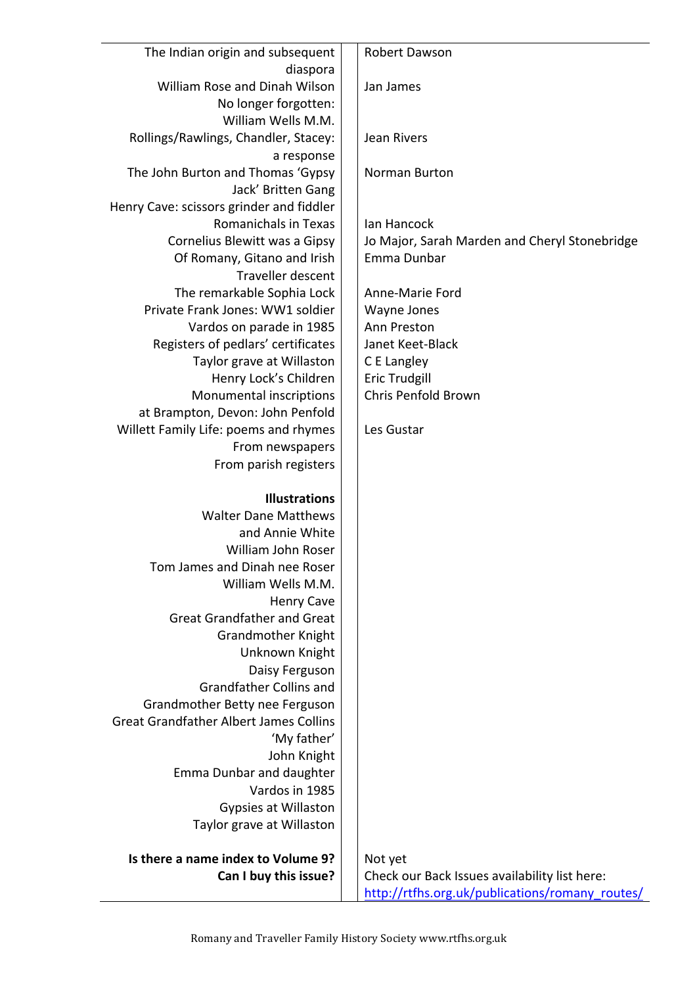| The Indian origin and subsequent                    | Robert Dawson                                   |
|-----------------------------------------------------|-------------------------------------------------|
| diaspora<br>William Rose and Dinah Wilson           | Jan James                                       |
| No longer forgotten:                                |                                                 |
| William Wells M.M.                                  |                                                 |
| Rollings/Rawlings, Chandler, Stacey:                | Jean Rivers                                     |
| a response                                          |                                                 |
| The John Burton and Thomas 'Gypsy                   | Norman Burton                                   |
| Jack' Britten Gang                                  |                                                 |
| Henry Cave: scissors grinder and fiddler            |                                                 |
| <b>Romanichals in Texas</b>                         | Ian Hancock                                     |
| Cornelius Blewitt was a Gipsy                       | Jo Major, Sarah Marden and Cheryl Stonebridge   |
| Of Romany, Gitano and Irish                         | Emma Dunbar                                     |
| Traveller descent                                   |                                                 |
| The remarkable Sophia Lock                          | Anne-Marie Ford                                 |
| Private Frank Jones: WW1 soldier                    | Wayne Jones                                     |
| Vardos on parade in 1985                            | Ann Preston                                     |
| Registers of pedlars' certificates                  | Janet Keet-Black                                |
| Taylor grave at Willaston                           | C E Langley                                     |
| Henry Lock's Children<br>Monumental inscriptions    | <b>Eric Trudgill</b><br>Chris Penfold Brown     |
| at Brampton, Devon: John Penfold                    |                                                 |
| Willett Family Life: poems and rhymes               | Les Gustar                                      |
| From newspapers                                     |                                                 |
| From parish registers                               |                                                 |
|                                                     |                                                 |
| <b>Illustrations</b>                                |                                                 |
| <b>Walter Dane Matthews</b>                         |                                                 |
| and Annie White                                     |                                                 |
| William John Roser                                  |                                                 |
| Tom James and Dinah nee Roser<br>William Wells M.M. |                                                 |
| <b>Henry Cave</b>                                   |                                                 |
| <b>Great Grandfather and Great</b>                  |                                                 |
| <b>Grandmother Knight</b>                           |                                                 |
| Unknown Knight                                      |                                                 |
| Daisy Ferguson                                      |                                                 |
| <b>Grandfather Collins and</b>                      |                                                 |
| Grandmother Betty nee Ferguson                      |                                                 |
| <b>Great Grandfather Albert James Collins</b>       |                                                 |
| 'My father'                                         |                                                 |
| John Knight                                         |                                                 |
| Emma Dunbar and daughter                            |                                                 |
| Vardos in 1985                                      |                                                 |
| Gypsies at Willaston                                |                                                 |
| Taylor grave at Willaston                           |                                                 |
| Is there a name index to Volume 9?                  | Not yet                                         |
| Can I buy this issue?                               | Check our Back Issues availability list here:   |
|                                                     | http://rtfhs.org.uk/publications/romany_routes/ |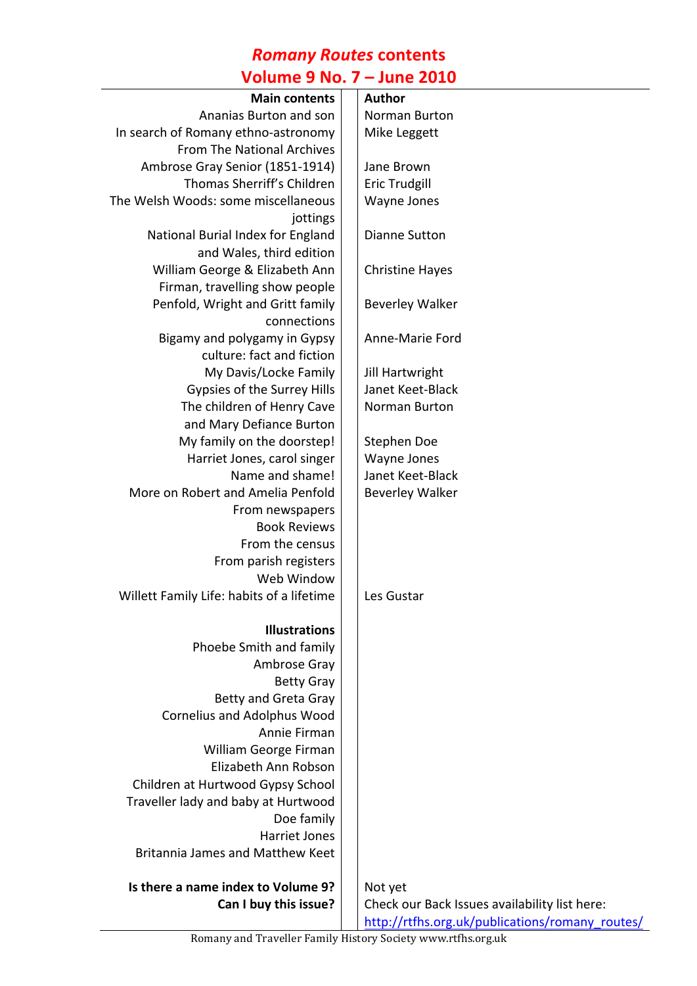# *Romany Routes* **contents**

| <b>Volume 9 No. 7 – June 2010</b>         |  |                                                 |  |
|-------------------------------------------|--|-------------------------------------------------|--|
| <b>Main contents</b>                      |  | <b>Author</b>                                   |  |
| Ananias Burton and son                    |  | Norman Burton                                   |  |
| In search of Romany ethno-astronomy       |  | Mike Leggett                                    |  |
| From The National Archives                |  |                                                 |  |
| Ambrose Gray Senior (1851-1914)           |  | Jane Brown                                      |  |
| Thomas Sherriff's Children                |  | <b>Eric Trudgill</b>                            |  |
| The Welsh Woods: some miscellaneous       |  | Wayne Jones                                     |  |
| jottings                                  |  |                                                 |  |
| National Burial Index for England         |  | Dianne Sutton                                   |  |
| and Wales, third edition                  |  |                                                 |  |
| William George & Elizabeth Ann            |  | <b>Christine Hayes</b>                          |  |
| Firman, travelling show people            |  |                                                 |  |
| Penfold, Wright and Gritt family          |  | <b>Beverley Walker</b>                          |  |
| connections                               |  |                                                 |  |
| Bigamy and polygamy in Gypsy              |  | Anne-Marie Ford                                 |  |
| culture: fact and fiction                 |  |                                                 |  |
| My Davis/Locke Family                     |  | Jill Hartwright                                 |  |
| Gypsies of the Surrey Hills               |  | Janet Keet-Black                                |  |
| The children of Henry Cave                |  | Norman Burton                                   |  |
| and Mary Defiance Burton                  |  |                                                 |  |
| My family on the doorstep!                |  | Stephen Doe                                     |  |
| Harriet Jones, carol singer               |  | Wayne Jones                                     |  |
| Name and shame!                           |  | Janet Keet-Black                                |  |
| More on Robert and Amelia Penfold         |  | <b>Beverley Walker</b>                          |  |
| From newspapers<br><b>Book Reviews</b>    |  |                                                 |  |
| From the census                           |  |                                                 |  |
| From parish registers                     |  |                                                 |  |
| Web Window                                |  |                                                 |  |
| Willett Family Life: habits of a lifetime |  | Les Gustar                                      |  |
|                                           |  |                                                 |  |
| <b>Illustrations</b>                      |  |                                                 |  |
| Phoebe Smith and family                   |  |                                                 |  |
| Ambrose Gray                              |  |                                                 |  |
| <b>Betty Gray</b>                         |  |                                                 |  |
| <b>Betty and Greta Gray</b>               |  |                                                 |  |
| <b>Cornelius and Adolphus Wood</b>        |  |                                                 |  |
| Annie Firman                              |  |                                                 |  |
| William George Firman                     |  |                                                 |  |
| Elizabeth Ann Robson                      |  |                                                 |  |
| Children at Hurtwood Gypsy School         |  |                                                 |  |
| Traveller lady and baby at Hurtwood       |  |                                                 |  |
| Doe family                                |  |                                                 |  |
| <b>Harriet Jones</b>                      |  |                                                 |  |
| Britannia James and Matthew Keet          |  |                                                 |  |
| Is there a name index to Volume 9?        |  | Not yet                                         |  |
| Can I buy this issue?                     |  | Check our Back Issues availability list here:   |  |
|                                           |  | http://rtfhs.org.uk/publications/romany_routes/ |  |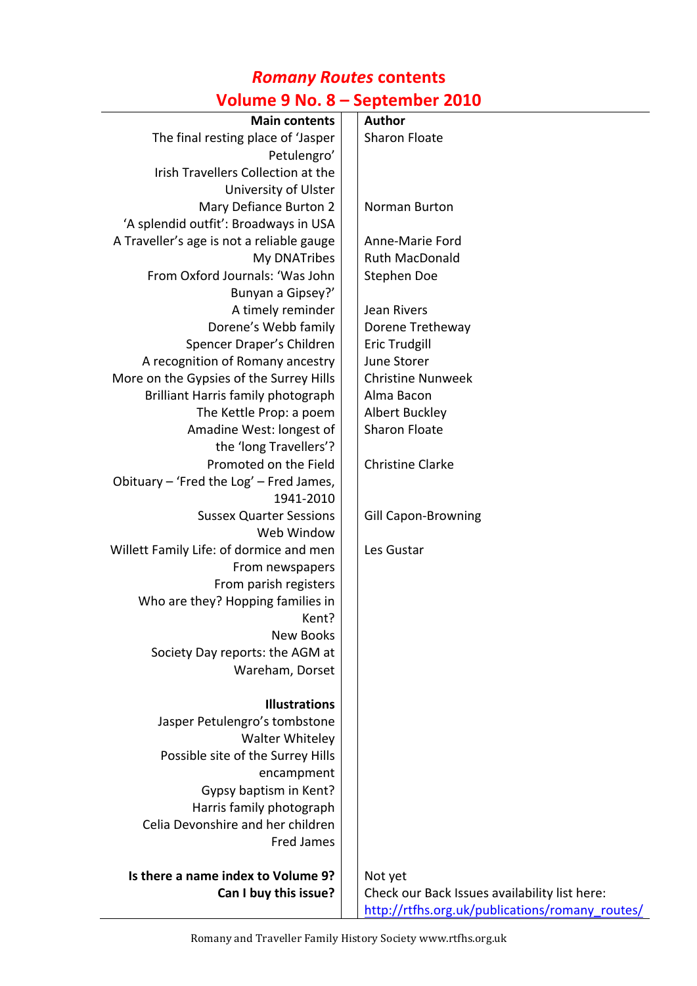### *Romany Routes* **contents**

### **Volume 9 No. 8 – September 2010**

| <b>Main contents</b>                      |  | <b>Author</b>                                   |  |
|-------------------------------------------|--|-------------------------------------------------|--|
| The final resting place of 'Jasper        |  | <b>Sharon Floate</b>                            |  |
| Petulengro'                               |  |                                                 |  |
| Irish Travellers Collection at the        |  |                                                 |  |
| University of Ulster                      |  |                                                 |  |
| Mary Defiance Burton 2                    |  | Norman Burton                                   |  |
| 'A splendid outfit': Broadways in USA     |  |                                                 |  |
| A Traveller's age is not a reliable gauge |  | Anne-Marie Ford                                 |  |
| My DNATribes                              |  | <b>Ruth MacDonald</b>                           |  |
| From Oxford Journals: 'Was John           |  | Stephen Doe                                     |  |
| Bunyan a Gipsey?'                         |  |                                                 |  |
| A timely reminder                         |  | Jean Rivers                                     |  |
| Dorene's Webb family                      |  | Dorene Tretheway                                |  |
| Spencer Draper's Children                 |  | <b>Eric Trudgill</b>                            |  |
| A recognition of Romany ancestry          |  | June Storer                                     |  |
| More on the Gypsies of the Surrey Hills   |  | <b>Christine Nunweek</b>                        |  |
| Brilliant Harris family photograph        |  | Alma Bacon                                      |  |
| The Kettle Prop: a poem                   |  | <b>Albert Buckley</b>                           |  |
| Amadine West: longest of                  |  | <b>Sharon Floate</b>                            |  |
| the 'long Travellers'?                    |  |                                                 |  |
| Promoted on the Field                     |  | <b>Christine Clarke</b>                         |  |
| Obituary - 'Fred the Log' - Fred James,   |  |                                                 |  |
| 1941-2010                                 |  |                                                 |  |
| <b>Sussex Quarter Sessions</b>            |  | <b>Gill Capon-Browning</b>                      |  |
| Web Window                                |  |                                                 |  |
| Willett Family Life: of dormice and men   |  | Les Gustar                                      |  |
| From newspapers                           |  |                                                 |  |
| From parish registers                     |  |                                                 |  |
| Who are they? Hopping families in         |  |                                                 |  |
| Kent?                                     |  |                                                 |  |
| <b>New Books</b>                          |  |                                                 |  |
| Society Day reports: the AGM at           |  |                                                 |  |
| Wareham, Dorset                           |  |                                                 |  |
| <b>Illustrations</b>                      |  |                                                 |  |
| Jasper Petulengro's tombstone             |  |                                                 |  |
| <b>Walter Whiteley</b>                    |  |                                                 |  |
| Possible site of the Surrey Hills         |  |                                                 |  |
| encampment                                |  |                                                 |  |
| Gypsy baptism in Kent?                    |  |                                                 |  |
| Harris family photograph                  |  |                                                 |  |
| Celia Devonshire and her children         |  |                                                 |  |
| <b>Fred James</b>                         |  |                                                 |  |
| Is there a name index to Volume 9?        |  | Not yet                                         |  |
| Can I buy this issue?                     |  | Check our Back Issues availability list here:   |  |
|                                           |  | http://rtfhs.org.uk/publications/romany_routes/ |  |